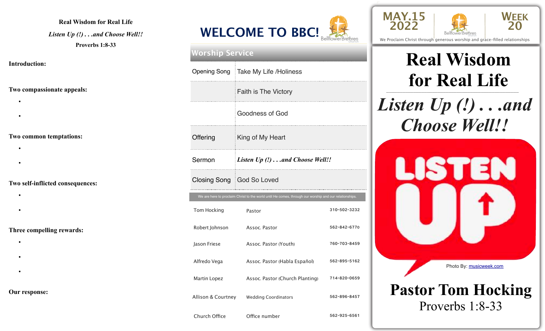### **Real Wisdom for Real Life**

*Listen Up (!) . . .and Choose Well!!*  **Proverbs 1:8-33** 

#### **Introduction:**

### **Two compassionate appeals:**

- •
- •
- 

### **Two common temptations:**

- •
- •

### **Two self-inflicted consequences:**

- •
- •

### **Three compelling rewards:**

- •
- •
- •
- **Our response:**



| <b>Worship Service</b> |                                                                                                        |              |  |  |  |
|------------------------|--------------------------------------------------------------------------------------------------------|--------------|--|--|--|
| Opening Song           | Take My Life /Holiness                                                                                 |              |  |  |  |
|                        | <b>Faith is The Victory</b>                                                                            |              |  |  |  |
|                        | <b>Goodness of God</b>                                                                                 |              |  |  |  |
| Offering               | King of My Heart                                                                                       |              |  |  |  |
| Sermon                 | <i>Listen Up <math>(l)</math>and Choose Well!!</i>                                                     |              |  |  |  |
|                        | Closing Song God So Loved                                                                              |              |  |  |  |
|                        | We are here to proclaim Christ to the world until He comes, through our worship and our relationships. |              |  |  |  |
| Tom Hocking            | Pastor                                                                                                 | 310-502-3232 |  |  |  |
| Robert Johnson         | Assoc. Pastor                                                                                          | 562-842-6770 |  |  |  |
| Jason Friese           | Assoc. Pastor (Youth)                                                                                  | 760-703-8459 |  |  |  |
| Alfredo Vega           | Assoc. Pastor (Habla Español)                                                                          | 562-895-5162 |  |  |  |
| Martin Lopez           | Assoc. Pastor (Church Planting)                                                                        | 714-820-0659 |  |  |  |
| Allison & Courtney     | <b>Wedding Coordinators</b>                                                                            | 562-896-8457 |  |  |  |





We Proclaim Christ through generous worship and grace-filled relationships

## \_\_\_\_\_\_\_\_\_\_\_\_\_\_\_\_\_\_\_\_\_\_\_\_\_\_\_\_\_\_\_\_\_\_\_\_\_\_\_\_\_\_\_\_\_\_\_\_\_ **Real Wisdom for Real Life**

*Listen Up (!) . . .and Choose Well!!*



Church Office **Office number** 562-925-6561